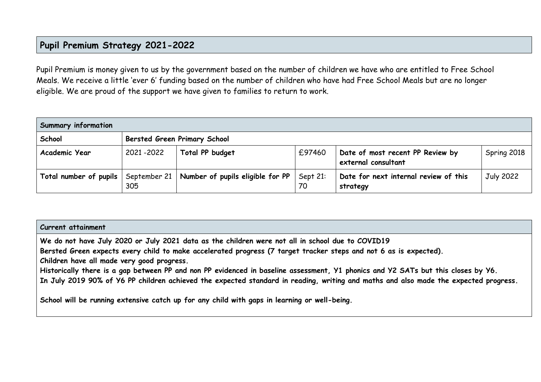## **Pupil Premium Strategy 2021-2022**

Pupil Premium is money given to us by the government based on the number of children we have who are entitled to Free School Meals. We receive a little 'ever 6' funding based on the number of children who have had Free School Meals but are no longer eligible. We are proud of the support we have given to families to return to work.

| <b>Summary information</b>            |                                     |                                               |        |                                                         |                  |  |
|---------------------------------------|-------------------------------------|-----------------------------------------------|--------|---------------------------------------------------------|------------------|--|
| School                                | <b>Bersted Green Primary School</b> |                                               |        |                                                         |                  |  |
| Academic Year                         | 2021-2022                           | Total PP budget                               | £97460 | Date of most recent PP Review by<br>external consultant | Spring 2018      |  |
| Total number of pupils   September 21 | 305                                 | Number of pupils eligible for $PP$   Sept 21: | 70     | Date for next internal review of this<br>strategy       | <b>July 2022</b> |  |

#### **Current attainment**

**We do not have July 2020 or July 2021 data as the children were not all in school due to COVID19**

**Bersted Green expects every child to make accelerated progress (7 target tracker steps and not 6 as is expected).**

**Children have all made very good progress.**

**Historically there is a gap between PP and non PP evidenced in baseline assessment, Y1 phonics and Y2 SATs but this closes by Y6. In July 2019 90% of Y6 PP children achieved the expected standard in reading, writing and maths and also made the expected progress.**

**School will be running extensive catch up for any child with gaps in learning or well-being.**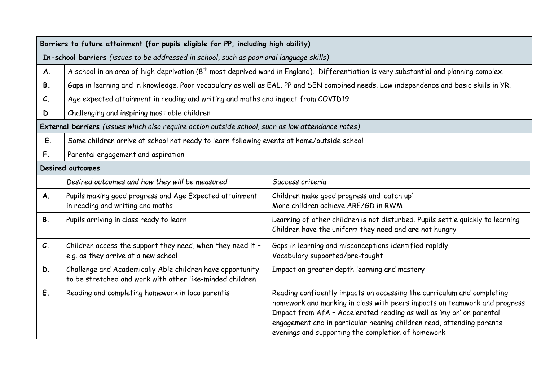|                 | Barriers to future attainment (for pupils eligible for PP, including high ability)                                    |                                                                                                                                                                                                                                                                                                                                                            |  |  |  |  |
|-----------------|-----------------------------------------------------------------------------------------------------------------------|------------------------------------------------------------------------------------------------------------------------------------------------------------------------------------------------------------------------------------------------------------------------------------------------------------------------------------------------------------|--|--|--|--|
|                 | In-school barriers (issues to be addressed in school, such as poor oral language skills)                              |                                                                                                                                                                                                                                                                                                                                                            |  |  |  |  |
| A.              |                                                                                                                       | A school in an area of high deprivation (8 <sup>th</sup> most deprived ward in England). Differentiation is very substantial and planning complex.                                                                                                                                                                                                         |  |  |  |  |
| <b>B.</b>       |                                                                                                                       | Gaps in learning and in knowledge. Poor vocabulary as well as EAL. PP and SEN combined needs. Low independence and basic skills in YR.                                                                                                                                                                                                                     |  |  |  |  |
| $\mathcal{C}.$  | Age expected attainment in reading and writing and maths and impact from COVID19                                      |                                                                                                                                                                                                                                                                                                                                                            |  |  |  |  |
| D               | Challenging and inspiring most able children                                                                          |                                                                                                                                                                                                                                                                                                                                                            |  |  |  |  |
|                 | External barriers (issues which also require action outside school, such as low attendance rates)                     |                                                                                                                                                                                                                                                                                                                                                            |  |  |  |  |
| E.              | Some children arrive at school not ready to learn following events at home/outside school                             |                                                                                                                                                                                                                                                                                                                                                            |  |  |  |  |
| $F_{\cdot}$     | Parental engagement and aspiration                                                                                    |                                                                                                                                                                                                                                                                                                                                                            |  |  |  |  |
|                 | <b>Desired outcomes</b>                                                                                               |                                                                                                                                                                                                                                                                                                                                                            |  |  |  |  |
|                 | Desired outcomes and how they will be measured                                                                        | Success criteria                                                                                                                                                                                                                                                                                                                                           |  |  |  |  |
| A.              | Pupils making good progress and Age Expected attainment<br>in reading and writing and maths                           | Children make good progress and 'catch up'<br>More children achieve ARE/GD in RWM                                                                                                                                                                                                                                                                          |  |  |  |  |
| <b>B.</b>       | Pupils arriving in class ready to learn                                                                               | Learning of other children is not disturbed. Pupils settle quickly to learning<br>Children have the uniform they need and are not hungry                                                                                                                                                                                                                   |  |  |  |  |
| $\mathcal{C}$ . | Children access the support they need, when they need it -<br>e.g. as they arrive at a new school                     | Gaps in learning and misconceptions identified rapidly<br>Vocabulary supported/pre-taught                                                                                                                                                                                                                                                                  |  |  |  |  |
| D.              | Challenge and Academically Able children have opportunity<br>to be stretched and work with other like-minded children | Impact on greater depth learning and mastery                                                                                                                                                                                                                                                                                                               |  |  |  |  |
| E.              | Reading and completing homework in loco parentis                                                                      | Reading confidently impacts on accessing the curriculum and completing<br>homework and marking in class with peers impacts on teamwork and progress<br>Impact from AfA - Accelerated reading as well as 'my on' on parental<br>engagement and in particular hearing children read, attending parents<br>evenings and supporting the completion of homework |  |  |  |  |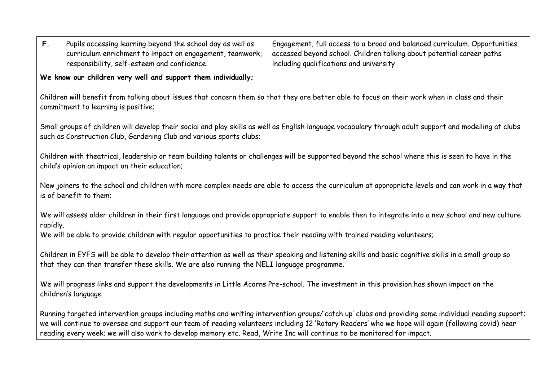| $F_{\cdot}$ | Pupils accessing learning beyond the school day as well as<br>curriculum enrichment to impact on engagement, teamwork,<br>responsibility, self-esteem and confidence.                                                                                | Engagement, full access to a broad and balanced curriculum. Opportunities<br>accessed beyond school. Children talking about potential career paths<br>including qualifications and university                                                                                                              |  |  |  |  |  |  |
|-------------|------------------------------------------------------------------------------------------------------------------------------------------------------------------------------------------------------------------------------------------------------|------------------------------------------------------------------------------------------------------------------------------------------------------------------------------------------------------------------------------------------------------------------------------------------------------------|--|--|--|--|--|--|
|             | We know our children very well and support them individually;                                                                                                                                                                                        |                                                                                                                                                                                                                                                                                                            |  |  |  |  |  |  |
|             | Children will benefit from talking about issues that concern them so that they are better able to focus on their work when in class and their<br>commitment to learning is positive;                                                                 |                                                                                                                                                                                                                                                                                                            |  |  |  |  |  |  |
|             | such as Construction Club, Gardening Club and various sports clubs;                                                                                                                                                                                  | Small groups of children will develop their social and play skills as well as English language vocabulary through adult support and modelling at clubs                                                                                                                                                     |  |  |  |  |  |  |
|             | child's opinion an impact on their education;                                                                                                                                                                                                        | Children with theatrical, leadership or team building talents or challenges will be supported beyond the school where this is seen to have in the                                                                                                                                                          |  |  |  |  |  |  |
|             | is of benefit to them;                                                                                                                                                                                                                               | New joiners to the school and children with more complex needs are able to access the curriculum at appropriate levels and can work in a way that                                                                                                                                                          |  |  |  |  |  |  |
| rapidly.    |                                                                                                                                                                                                                                                      | We will assess older children in their first language and provide appropriate support to enable then to integrate into a new school and new culture                                                                                                                                                        |  |  |  |  |  |  |
|             | We will be able to provide children with regular opportunities to practice their reading with trained reading volunteers;                                                                                                                            |                                                                                                                                                                                                                                                                                                            |  |  |  |  |  |  |
|             | Children in EYFS will be able to develop their attention as well as their speaking and listening skills and basic cognitive skills in a small group so<br>that they can then transfer these skills. We are also running the NELI language programme. |                                                                                                                                                                                                                                                                                                            |  |  |  |  |  |  |
|             | We will progress links and support the developments in Little Acorns Pre-school. The investment in this provision has shown impact on the<br>children's language                                                                                     |                                                                                                                                                                                                                                                                                                            |  |  |  |  |  |  |
|             | reading every week; we will also work to develop memory etc. Read, Write Inc will continue to be monitored for impact.                                                                                                                               | Running targeted intervention groups including maths and writing intervention groups/'catch up' clubs and providing some individual reading support;<br>we will continue to oversee and support our team of reading volunteers including 12 'Rotary Readers' who we hope will again (following covid) hear |  |  |  |  |  |  |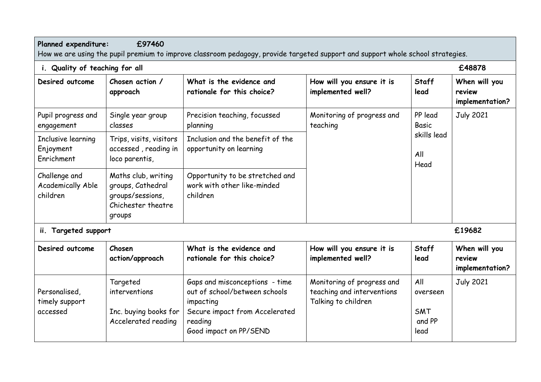# **Planned expenditure: £97460**

How we are using the pupil premium to improve classroom pedagogy, provide targeted support and support whole school strategies.

| i. Quality of teaching for all                        |                                                                                              |                                                                            |                                                |                                                | £48878                                     |                  |
|-------------------------------------------------------|----------------------------------------------------------------------------------------------|----------------------------------------------------------------------------|------------------------------------------------|------------------------------------------------|--------------------------------------------|------------------|
| Desired outcome                                       | Chosen action /<br>approach                                                                  | What is the evidence and<br>rationale for this choice?                     | How will you ensure it is<br>implemented well? | Staff<br>lead                                  | When will you<br>review<br>implementation? |                  |
| Pupil progress and<br>engagement                      | Single year group<br>classes                                                                 | Precision teaching, focussed<br>planning                                   | Monitoring of progress and<br>teaching         | PP lead<br>Basic<br>skills lead<br>All<br>Head |                                            | <b>July 2021</b> |
| Inclusive learning<br>Enjoyment<br>Enrichment         | Trips, visits, visitors<br>accessed, reading in<br>loco parentis,                            | Inclusion and the benefit of the<br>opportunity on learning                |                                                |                                                |                                            |                  |
| Challenge and<br><b>Academically Able</b><br>children | Maths club, writing<br>groups, Cathedral<br>groups/sessions,<br>Chichester theatre<br>groups | Opportunity to be stretched and<br>work with other like-minded<br>children |                                                |                                                |                                            |                  |

**ii. Targeted support £19682**

| Desired outcome                             | Chosen<br>action/approach                                                 | What is the evidence and<br>rationale for this choice?                                                                                              | How will you ensure it is<br>implemented well?                                  | Staff<br>lead                            | When will you<br>review<br>implementation? |
|---------------------------------------------|---------------------------------------------------------------------------|-----------------------------------------------------------------------------------------------------------------------------------------------------|---------------------------------------------------------------------------------|------------------------------------------|--------------------------------------------|
| Personalised,<br>timely support<br>accessed | Targeted<br>interventions<br>Inc. buying books for<br>Accelerated reading | Gaps and misconceptions - time<br>out of school/between schools<br>impacting<br>Secure impact from Accelerated<br>reading<br>Good impact on PP/SEND | Monitoring of progress and<br>teaching and interventions<br>Talking to children | All<br>overseen<br>SMT<br>and PP<br>lead | <b>July 2021</b>                           |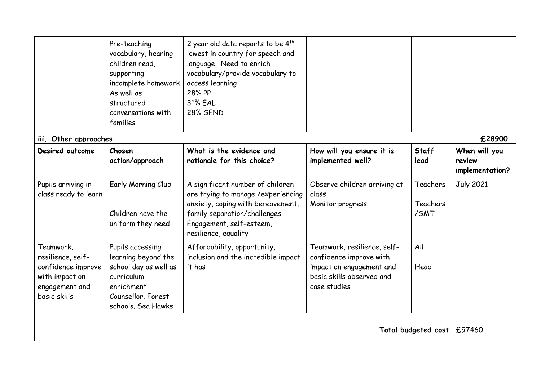|                                                                                                          | Pre-teaching<br>vocabulary, hearing<br>children read,<br>supporting<br>incomplete homework<br>As well as<br>structured<br>conversations with<br>families | 2 year old data reports to be $4th$<br>lowest in country for speech and<br>language. Need to enrich<br>vocabulary/provide vocabulary to<br>access learning<br>28% PP<br><b>31% EAL</b><br><b>28% SEND</b> |                                                                                                                                 |                              |                                            |
|----------------------------------------------------------------------------------------------------------|----------------------------------------------------------------------------------------------------------------------------------------------------------|-----------------------------------------------------------------------------------------------------------------------------------------------------------------------------------------------------------|---------------------------------------------------------------------------------------------------------------------------------|------------------------------|--------------------------------------------|
| iii. Other approaches                                                                                    |                                                                                                                                                          |                                                                                                                                                                                                           |                                                                                                                                 |                              | £28900                                     |
| Desired outcome                                                                                          | Chosen<br>action/approach                                                                                                                                | What is the evidence and<br>rationale for this choice?                                                                                                                                                    | How will you ensure it is<br>implemented well?                                                                                  | <b>Staff</b><br>lead         | When will you<br>review<br>implementation? |
| Pupils arriving in<br>class ready to learn                                                               | Early Morning Club<br>Children have the<br>uniform they need                                                                                             | A significant number of children<br>are trying to manage / experiencing<br>anxiety, coping with bereavement,<br>family separation/challenges<br>Engagement, self-esteem,<br>resilience, equality          | Observe children arriving at<br>class<br>Monitor progress                                                                       | Teachers<br>Teachers<br>/SMT | <b>July 2021</b>                           |
| Teamwork,<br>resilience, self-<br>confidence improve<br>with impact on<br>engagement and<br>basic skills | Pupils accessing<br>learning beyond the<br>school day as well as<br>curriculum<br>enrichment<br>Counsellor, Forest<br>schools. Sea Hawks                 | Affordability, opportunity,<br>inclusion and the incredible impact<br>it has                                                                                                                              | Teamwork, resilience, self-<br>confidence improve with<br>impact on engagement and<br>basic skills observed and<br>case studies | All<br>Head                  |                                            |
| Total budgeted cost   £97460                                                                             |                                                                                                                                                          |                                                                                                                                                                                                           |                                                                                                                                 |                              |                                            |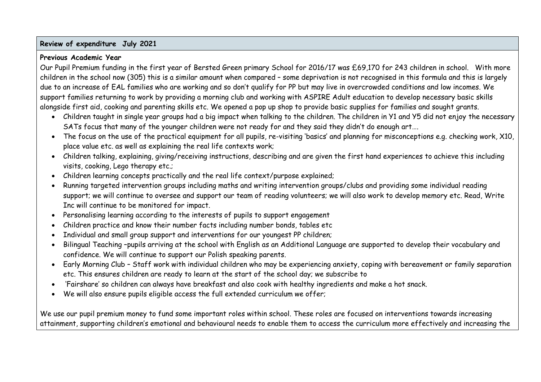#### **Review of expenditure July 2021**

#### **Previous Academic Year**

Our Pupil Premium funding in the first year of Bersted Green primary School for 2016/17 was £69,170 for 243 children in school. With more children in the school now (305) this is a similar amount when compared – some deprivation is not recognised in this formula and this is largely due to an increase of EAL families who are working and so don't qualify for PP but may live in overcrowded conditions and low incomes. We support families returning to work by providing a morning club and working with ASPIRE Adult education to develop necessary basic skills alongside first aid, cooking and parenting skills etc. We opened a pop up shop to provide basic supplies for families and sought grants.

- Children taught in single year groups had a big impact when talking to the children. The children in Y1 and Y5 did not enjoy the necessary SATs focus that many of the younger children were not ready for and they said they didn't do enough art….
- The focus on the use of the practical equipment for all pupils, re-visiting 'basics' and planning for misconceptions e.g. checking work, X10, place value etc. as well as explaining the real life contexts work;
- Children talking, explaining, giving/receiving instructions, describing and are given the first hand experiences to achieve this including visits, cooking, Lego therapy etc.;
- Children learning concepts practically and the real life context/purpose explained;
- Running targeted intervention groups including maths and writing intervention groups/clubs and providing some individual reading support; we will continue to oversee and support our team of reading volunteers; we will also work to develop memory etc. Read, Write Inc will continue to be monitored for impact.
- Personalising learning according to the interests of pupils to support engagement
- Children practice and know their number facts including number bonds, tables etc
- Individual and small group support and interventions for our youngest PP children;
- Bilingual Teaching –pupils arriving at the school with English as an Additional Language are supported to develop their vocabulary and confidence. We will continue to support our Polish speaking parents.
- Early Morning Club Staff work with individual children who may be experiencing anxiety, coping with bereavement or family separation etc. This ensures children are ready to learn at the start of the school day; we subscribe to
- 'Fairshare' so children can always have breakfast and also cook with healthy ingredients and make a hot snack.
- We will also ensure pupils eligible access the full extended curriculum we offer;

We use our pupil premium money to fund some important roles within school. These roles are focused on interventions towards increasing attainment, supporting children's emotional and behavioural needs to enable them to access the curriculum more effectively and increasing the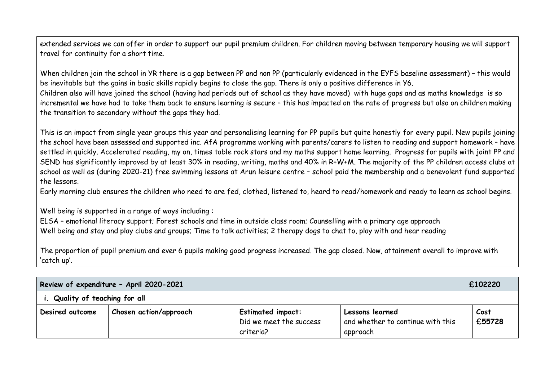extended services we can offer in order to support our pupil premium children. For children moving between temporary housing we will support travel for continuity for a short time.

When children join the school in YR there is a gap between PP and non PP (particularly evidenced in the EYFS baseline assessment) – this would be inevitable but the gains in basic skills rapidly begins to close the gap. There is only a positive difference in Y6.

Children also will have joined the school (having had periods out of school as they have moved) with huge gaps and as maths knowledge is so incremental we have had to take them back to ensure learning is secure – this has impacted on the rate of progress but also on children making the transition to secondary without the gaps they had.

This is an impact from single year groups this year and personalising learning for PP pupils but quite honestly for every pupil. New pupils joining the school have been assessed and supported inc. AfA programme working with parents/carers to listen to reading and support homework – have settled in quickly. Accelerated reading, my on, times table rock stars and my maths support home learning. Progress for pupils with joint PP and SEND has significantly improved by at least 30% in reading, writing, maths and 40% in R+W+M. The majority of the PP children access clubs at school as well as (during 2020-21) free swimming lessons at Arun leisure centre – school paid the membership and a benevolent fund supported the lessons.

Early morning club ensures the children who need to are fed, clothed, listened to, heard to read/homework and ready to learn as school begins.

Well being is supported in a range of ways including :

ELSA – emotional literacy support; Forest schools and time in outside class room; Counselling with a primary age approach Well being and stay and play clubs and groups; Time to talk activities; 2 therapy dogs to chat to, play with and hear reading

The proportion of pupil premium and ever 6 pupils making good progress increased. The gap closed. Now, attainment overall to improve with 'catch up'.

| Review of expenditure - April 2020-2021<br>£102220 |                               |                                                                  |                                                                  |                |  |
|----------------------------------------------------|-------------------------------|------------------------------------------------------------------|------------------------------------------------------------------|----------------|--|
| i. Quality of teaching for all                     |                               |                                                                  |                                                                  |                |  |
| Desired outcome                                    | <b>Chosen action/approach</b> | <b>Estimated impact:</b><br>Did we meet the success<br>criteria? | Lessons learned<br>and whether to continue with this<br>approach | Cost<br>£55728 |  |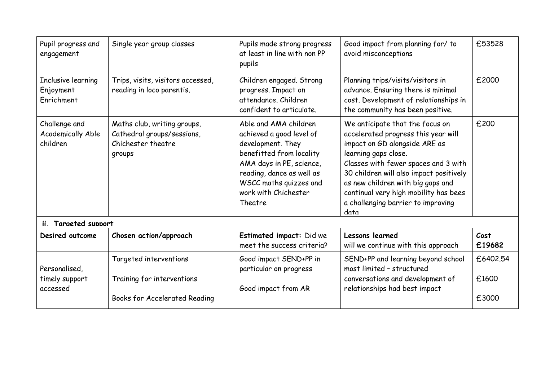| Pupil progress and<br>engagement                      | Single year group classes                                                                 | Pupils made strong progress<br>at least in line with non PP<br>pupils                                                                                                                                                    | Good impact from planning for/ to<br>avoid misconceptions                                                                                                                                                                                                                                                                                      | £53528                     |
|-------------------------------------------------------|-------------------------------------------------------------------------------------------|--------------------------------------------------------------------------------------------------------------------------------------------------------------------------------------------------------------------------|------------------------------------------------------------------------------------------------------------------------------------------------------------------------------------------------------------------------------------------------------------------------------------------------------------------------------------------------|----------------------------|
| Inclusive learning<br>Enjoyment<br>Enrichment         | Trips, visits, visitors accessed,<br>reading in loco parentis.                            | Children engaged. Strong<br>progress. Impact on<br>attendance. Children<br>confident to articulate.                                                                                                                      | Planning trips/visits/visitors in<br>advance. Ensuring there is minimal<br>cost. Development of relationships in<br>the community has been positive.                                                                                                                                                                                           | £2000                      |
| Challenge and<br><b>Academically Able</b><br>children | Maths club, writing groups,<br>Cathedral groups/sessions,<br>Chichester theatre<br>groups | Able and AMA children<br>achieved a good level of<br>development. They<br>benefitted from locality<br>AMA days in PE, science,<br>reading, dance as well as<br>WSCC maths quizzes and<br>work with Chichester<br>Theatre | We anticipate that the focus on<br>accelerated progress this year will<br>impact on GD alongside ARE as<br>learning gaps close.<br>Classes with fewer spaces and 3 with<br>30 children will also impact positively<br>as new children with big gaps and<br>continual very high mobility has bees<br>a challenging barrier to improving<br>data | £200                       |
| ii. Targeted support                                  |                                                                                           |                                                                                                                                                                                                                          |                                                                                                                                                                                                                                                                                                                                                |                            |
| Desired outcome                                       | Chosen action/approach                                                                    | Estimated impact: Did we<br>meet the success criteria?                                                                                                                                                                   | Lessons learned<br>will we continue with this approach                                                                                                                                                                                                                                                                                         | Cost<br>£19682             |
| Personalised,<br>timely support<br>accessed           | Targeted interventions<br>Training for interventions<br>Books for Accelerated Reading     | Good impact SEND+PP in<br>particular on progress<br>Good impact from AR                                                                                                                                                  | SEND+PP and learning beyond school<br>most limited - structured<br>conversations and development of<br>relationships had best impact                                                                                                                                                                                                           | £6402.54<br>£1600<br>£3000 |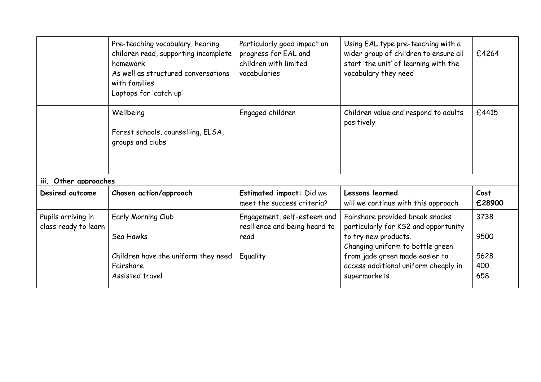|                                            | Pre-teaching vocabulary, hearing<br>children read, supporting incomplete<br>homework<br>As well as structured conversations<br>with families<br>Laptops for 'catch up' | Particularly good impact on<br>progress for EAL and<br>children with limited<br>vocabularies | Using EAL type pre-teaching with a<br>wider group of children to ensure all<br>start 'the unit' of learning with the<br>vocabulary they need                                                                                  | £4264                              |
|--------------------------------------------|------------------------------------------------------------------------------------------------------------------------------------------------------------------------|----------------------------------------------------------------------------------------------|-------------------------------------------------------------------------------------------------------------------------------------------------------------------------------------------------------------------------------|------------------------------------|
|                                            | Wellbeing<br>Forest schools, counselling, ELSA,<br>groups and clubs                                                                                                    | Engaged children                                                                             | Children value and respond to adults<br>positively                                                                                                                                                                            | £4415                              |
| iii. Other approaches                      |                                                                                                                                                                        |                                                                                              |                                                                                                                                                                                                                               |                                    |
| Desired outcome                            | Chosen action/approach                                                                                                                                                 | Estimated impact: Did we<br>meet the success criteria?                                       | Lessons learned<br>will we continue with this approach                                                                                                                                                                        | Cost<br>£28900                     |
| Pupils arriving in<br>class ready to learn | Early Morning Club<br>Sea Hawks<br>Children have the uniform they need<br>Fairshare<br>Assisted travel                                                                 | Engagement, self-esteem and<br>resilience and being heard to<br>read<br>Equality             | Fairshare provided break snacks<br>particularly for KS2 and opportunity<br>to try new products.<br>Changing uniform to bottle green<br>from jade green made easier to<br>access additional uniform cheaply in<br>supermarkets | 3738<br>9500<br>5628<br>400<br>658 |